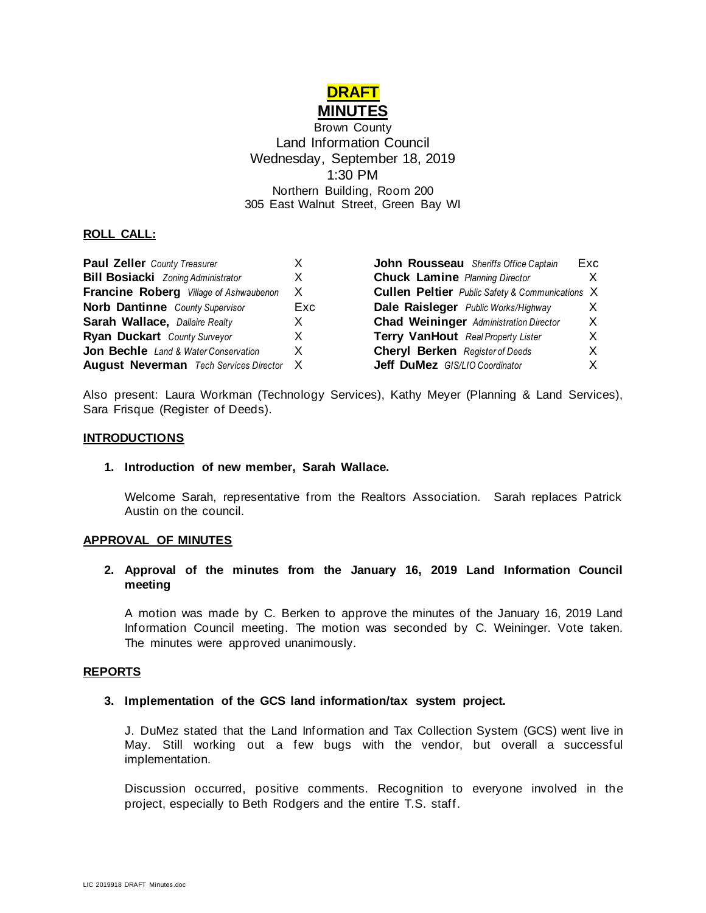

Brown County Land Information Council Wednesday, September 18, 2019 1:30 PM Northern Building, Room 200 305 East Walnut Street, Green Bay WI

**Sheriffs Office Captain Exc** 

# **ROLL CALL:**

| <b>Paul Zeller</b> County Treasurer             |     | <b>John Rousseau</b> Sheriffs Office Captain           | Exc |
|-------------------------------------------------|-----|--------------------------------------------------------|-----|
| <b>Bill Bosiacki</b> Zoning Administrator       |     | <b>Chuck Lamine Planning Director</b>                  | X   |
| <b>Francine Roberg</b> Village of Ashwaubenon   | X   | <b>Cullen Peltier</b> Public Safety & Communications X |     |
| Norb Dantinne County Supervisor                 | Exc | <b>Dale Raisleger</b> Public Works/Highway             | X   |
| Sarah Wallace, Dallaire Realty                  |     | <b>Chad Weininger</b> Administration Director          | X   |
| <b>Ryan Duckart</b> County Surveyor             |     | Terry VanHout Real Property Lister                     | X   |
| <b>Jon Bechle</b> Land & Water Conservation     | X   | <b>Cheryl Berken</b> Register of Deeds                 | X.  |
| <b>August Neverman</b> Tech Services Director X |     | Jeff DuMez GIS/LIO Coordinator                         | X   |

Also present: Laura Workman (Technology Services), Kathy Meyer (Planning & Land Services), Sara Frisque (Register of Deeds).

### **INTRODUCTIONS**

#### **1. Introduction of new member, Sarah Wallace.**

Welcome Sarah, representative from the Realtors Association. Sarah replaces Patrick Austin on the council.

#### **APPROVAL OF MINUTES**

### **2. Approval of the minutes from the January 16, 2019 Land Information Council meeting**

A motion was made by C. Berken to approve the minutes of the January 16, 2019 Land Information Council meeting. The motion was seconded by C. Weininger. Vote taken. The minutes were approved unanimously.

#### **REPORTS**

#### **3. Implementation of the GCS land information/tax system project.**

J. DuMez stated that the Land Information and Tax Collection System (GCS) went live in May. Still working out a few bugs with the vendor, but overall a successful implementation.

Discussion occurred, positive comments. Recognition to everyone involved in the project, especially to Beth Rodgers and the entire T.S. staff.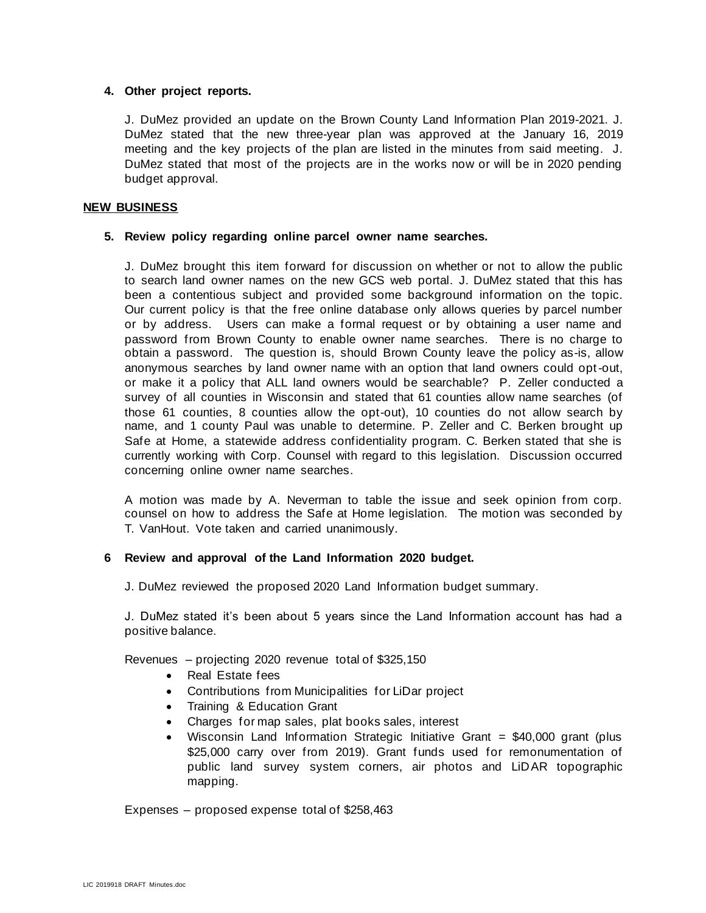#### **4. Other project reports.**

J. DuMez provided an update on the Brown County Land Information Plan 2019-2021. J. DuMez stated that the new three-year plan was approved at the January 16, 2019 meeting and the key projects of the plan are listed in the minutes from said meeting. J. DuMez stated that most of the projects are in the works now or will be in 2020 pending budget approval.

### **NEW BUSINESS**

### **5. Review policy regarding online parcel owner name searches.**

J. DuMez brought this item forward for discussion on whether or not to allow the public to search land owner names on the new GCS web portal. J. DuMez stated that this has been a contentious subject and provided some background information on the topic. Our current policy is that the free online database only allows queries by parcel number or by address. Users can make a formal request or by obtaining a user name and password from Brown County to enable owner name searches. There is no charge to obtain a password. The question is, should Brown County leave the policy as-is, allow anonymous searches by land owner name with an option that land owners could opt-out, or make it a policy that ALL land owners would be searchable? P. Zeller conducted a survey of all counties in Wisconsin and stated that 61 counties allow name searches (of those 61 counties, 8 counties allow the opt-out), 10 counties do not allow search by name, and 1 county Paul was unable to determine. P. Zeller and C. Berken brought up Safe at Home, a statewide address confidentiality program. C. Berken stated that she is currently working with Corp. Counsel with regard to this legislation. Discussion occurred concerning online owner name searches.

A motion was made by A. Neverman to table the issue and seek opinion from corp. counsel on how to address the Safe at Home legislation. The motion was seconded by T. VanHout. Vote taken and carried unanimously.

# **6 Review and approval of the Land Information 2020 budget.**

J. DuMez reviewed the proposed 2020 Land Information budget summary.

J. DuMez stated it's been about 5 years since the Land Information account has had a positive balance.

Revenues – projecting 2020 revenue total of \$325,150

- Real Estate fees
- Contributions from Municipalities for LiDar project
- Training & Education Grant
- Charges for map sales, plat books sales, interest
- Wisconsin Land Information Strategic Initiative Grant  $= $40,000$  grant (plus \$25,000 carry over from 2019). Grant funds used for remonumentation of public land survey system corners, air photos and LiDAR topographic mapping.

Expenses – proposed expense total of \$258,463